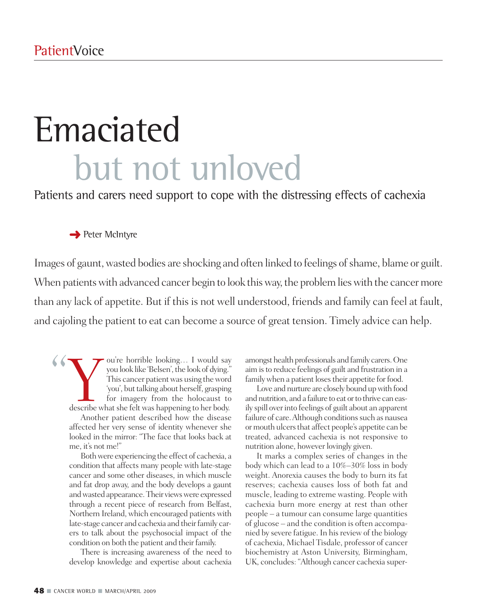# Emaciated but not unloved

Patients and carers need support to cope with the distressing effects of cachexia

### **→** Peter McIntyre

Images of gaunt, wasted bodies are shocking and often linked to feelings of shame, blame or guilt. When patients with advanced cancer begin to look this way, the problem lies with the cancer more than any lack of appetite. But if this is not well understood, friends and family can feel at fault, and cajoling the patient to eat can become a source of great tension. Timely advice can help.

" Valley ou're horrible looking... I would say you look like 'Belsen', the look of dying.' This cancer patient was using the word 'you', but talking about herself, grasping for imagery from the holocaust to describe what she ou're horrible looking… I would say you look like 'Belsen', the look of dying." This cancer patient was using the word 'you', but talking about herself, grasping for imagery from the holocaust to Another patient described how the disease affected her very sense of identity whenever she looked in the mirror: "The face that looks back at me, it's not me!"

Bothwere experiencing the effect of cachexia, a condition that affects many people with late-stage cancer and some other diseases, in which muscle and fat drop away, and the body develops a gaunt andwasted appearance.Their viewswere expressed through a recent piece of research from Belfast, Northern Ireland, which encouraged patients with late-stage cancer and cachexia and their family carers to talk about the psychosocial impact of the condition on both the patient and their family.

There is increasing awareness of the need to develop knowledge and expertise about cachexia amongst health professionals and family carers.One aim isto reduce feelings of guilt and frustration in a family when a patient loses their appetite for food.

Love and nurture are closely bound up with food and nutrition, and a failure to eat or to thrive can easily spill overinto feelings of guilt about an apparent failure of care. Although conditions such as nausea or mouth ulcers that affect people's appetite can be treated, advanced cachexia is not responsive to nutrition alone, however lovingly given.

It marks a complex series of changes in the body which can lead to a 10%–30% loss in body weight. Anorexia causes the body to burn its fat reserves; cachexia causes loss of both fat and muscle, leading to extreme wasting. People with cachexia burn more energy at rest than other people – a tumour can consume large quantities of glucose – and the condition is often accompanied by severe fatigue. In hisreview of the biology of cachexia, Michael Tisdale, professor of cancer biochemistry at Aston University, Birmingham, UK, concludes: "Although cancer cachexia super-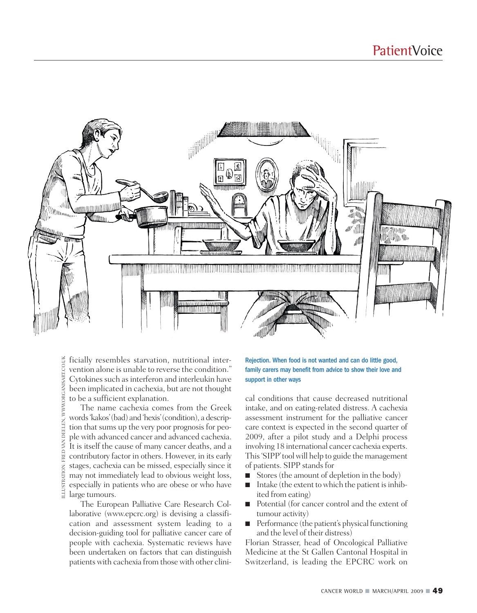

ficially resembles starvation, nutritional inter-ILLUSTRATION: FRED VAN DEELEN, WWW.ORGANISART.CO.UKFRED VAN DEELEN, WWW.ORGANISART.CO.UK vention alone is unable to reverse the condition." Cytokines such as interferon and interleukin have been implicated in cachexia, but are not thought to be a sufficient explanation.

The name cachexia comes from the Greek words'kakos'(bad) and 'hexis'(condition), a description that sums up the very poor prognosis for people with advanced cancer and advanced cachexia. It is itself the cause of many cancer deaths, and a contributory factor in others. However, in its early stages, cachexia can be missed, especially since it may not immediately lead to obvious weight loss, especially in patients who are obese or who have  $\frac{1}{2}$  stages, cachexis<br>substitution in the especially in page tumours.

The European Palliative Care Research Collaborative (www.epcrc.org) is devising a classification and assessment system leading to a decision-guiding tool for palliative cancer care of people with cachexia. Systematic reviews have been undertaken on factors that can distinguish patients with cachexia from those with other clini-

#### Rejection. When food is not wanted and can do little good, family carers may benefit from advice to show their love and support in other ways

cal conditions that cause decreased nutritional intake, and on eating-related distress. A cachexia assessment instrument for the palliative cancer care context is expected in the second quarter of 2009, after a pilot study and a Delphi process involving 18 international cancer cachexia experts. This'SIPP'toolwill help to guide the management of patients. SIPP standsfor

- Stores (the amount of depletion in the body)
- Intake (the extent to which the patient is inhibited from eating)
- Potential (for cancer control and the extent of tumour activity)
- Performance (the patient's physical functioning and the level of their distress)

Florian Strasser, head of Oncological Palliative Medicine at the St Gallen Cantonal Hospital in Switzerland, is leading the EPCRC work on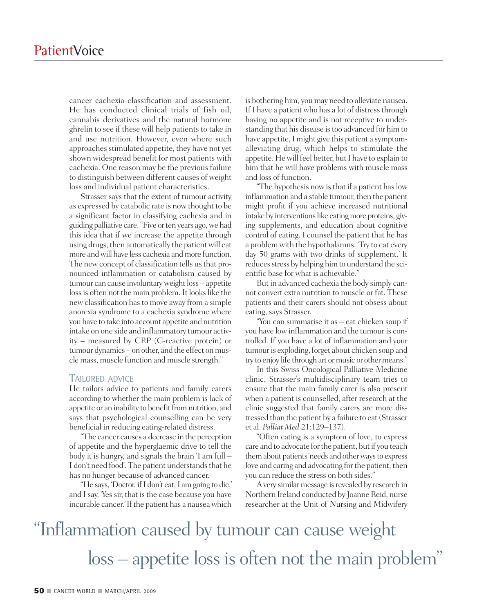cancer cachexia classification and assessment. He has conducted clinical trials of fish oil, cannabis derivatives and the natural hormone ghrelin to see if these will help patients to take in and use nutrition. However, even where such approaches stimulated appetite, they have not yet shown widespread benefit for most patients with cachexia. One reason may be the previous failure to distinguish between different causes of weight loss and individual patient characteristics.

Strasser says that the extent of tumour activity as expressed by catabolic rate is now thought to be a significant factor in classifying cachexia and in guiding palliative care. "Five or ten years ago, we had this idea that if we increase the appetite through using drugs, then automatically the patientwill eat more and will have less cachexia and more function. The new concept of classification tells us that pronounced inflammation or catabolism caused by tumour can cause involuntary weight loss – appetite loss is often not the main problem. It looks like the new classification hasto move away from a simple anorexia syndrome to a cachexia syndrome where you have to take into account appetite and nutrition intake on one side and inflammatory tumour activity – measured by CRP (C-reactive protein) or tumour dynamics – on other, and the effect on muscle mass, muscle function and muscle strength."

#### TAILORED ADVICE

He tailors advice to patients and family carers according to whether the main problem is lack of appetite or an inability to benefit from nutrition, and says that psychological counselling can be very beneficial in reducing eating-related distress.

"The cancer causes a decrease in the perception of appetite and the hyperglaemic drive to tell the body it is hungry, and signals the brain 'I am full – I don't need food'. The patient understands that he has no hunger because of advanced cancer.

"He says, 'Doctor, if I don't eat, I am going to die,' and I say, 'Yes sir, that is the case because you have incurable cancer.'If the patient has a nauseawhich

is bothering him, you may need to alleviate nausea. If I have a patient who has a lot of distress through having no appetite and is not receptive to understanding that his disease istoo advanced for him to have appetite, I might give this patient a symptomalleviating drug, which helps to stimulate the appetite.Hewill feel better, butI have to explain to him that he will have problems with muscle mass and loss of function.

"The hypothesis now is that if a patient has low inflammation and a stable tumour, then the patient might profit if you achieve increased nutritional intake by interventions like eating more proteins, giving supplements, and education about cognitive control of eating. I counsel the patient that he has a problem with the hypothalamus. 'Try to eat every day 50 grams with two drinks of supplement.' It reduces stress by helping him to understand the scientific base for what is achievable."

But in advanced cachexia the body simply cannot convert extra nutrition to muscle or fat. These patients and their carers should not obsess about eating, says Strasser.

"You can summarise it as – eat chicken soup if you have low inflammation and the tumour is controlled. If you have a lot of inflammation and your tumour is exploding, forget about chicken soup and try to enjoy life through art or music or other means."

In this Swiss Oncological Palliative Medicine clinic, Strasser's multidisciplinary team tries to ensure that the main family carer is also present when a patient is counselled, after research at the clinic suggested that family carers are more distressed than the patient by a failure to eat(Strasser et al. *Palliat Med* 21:129–137).

"Often eating is a symptom of love, to express care and to advocate for the patient, but if you teach them about patients' needs and other ways to express love and caring and advocating for the patient, then you can reduce the stress on both sides."

A very similar message is revealed by research in Northern Ireland conducted by Joanne Reid, nurse researcher at the Unit of Nursing and Midwifery

# "Inflammation caused by tumour can cause weight loss – appetite loss is often not the main problem"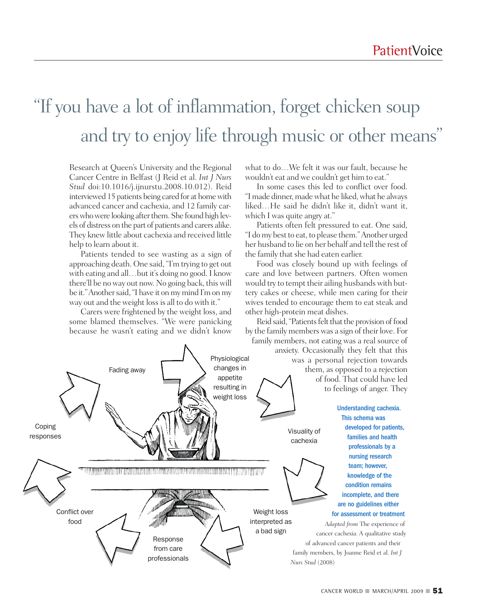# "If you have a lot of inflammation, forget chicken soup and try to enjoy life through music or other means "

Research at Queen's University and the Regional Cancer Centre in Belfast (J Reid et al. *Int J Nurs Stud* doi:10.1016/j.ijnurstu.2008.10.012). Reid interviewed 15 patients being cared for at homewith advanced cancer and cachexia, and 12 family carerswhowere looking afterthem. She found high levels of distress on the part of patients and carers alike. They knew little about cachexia and received little help to learn about it.

Patients tended to see wasting as a sign of approaching death. One said, "I'm trying to get out with eating and all…but it's doing no good. I know there'll be no way out now. No going back, this will be it." Another said, "I have it on my mind I'm on my way out and the weight lossis all to do with it."

Carers were frightened by the weight loss, and some blamed themselves. "We were panicking because he wasn't eating and we didn't know

what to do…We felt it was our fault, because he wouldn't eat and we couldn't get him to eat."

In some cases this led to conflict over food. "I made dinner, made what he liked, what he always liked…He said he didn't like it, didn't want it, which I was quite angry at."

Patients often felt pressured to eat. One said, "I do my best to eat, to please them." Another urged her husband to lie on her behalf and tell the rest of the family that she had eaten earlier.

Food was closely bound up with feelings of care and love between partners. Often women would try to tempt their ailing husbands with buttery cakes or cheese, while men caring for their wives tended to encourage them to eat steak and other high-protein meat dishes.

Reid said, "Patients felt that the provision of food by the family members was a sign of their love. For family members, not eating was a real source of

anxiety. Occasionally they felt that this Physiological was a personal rejection towards changes in Fading away them, as opposed to a rejection appetite of food. That could have led resulting in to feelings of anger. They weight loss Understanding cachexia. This schema was Coping developed for patients, Visuality of responses families and health cachexia professionals by a nursing research team; however, The contract of the contract of the contract of the contract of the contract of the contract of the contract of knowledge of the condition remains incomplete, and there are no guidelines either Conflict over Weight loss for assessment or treatment food interpreted as *Adapted from* The experience of a bad sign cancer cachexia: A qualitative study Response of advanced cancer patients and their from care family members, by Joanne Reid et al. *Int J* professionals *Nurs Stud* (2008)